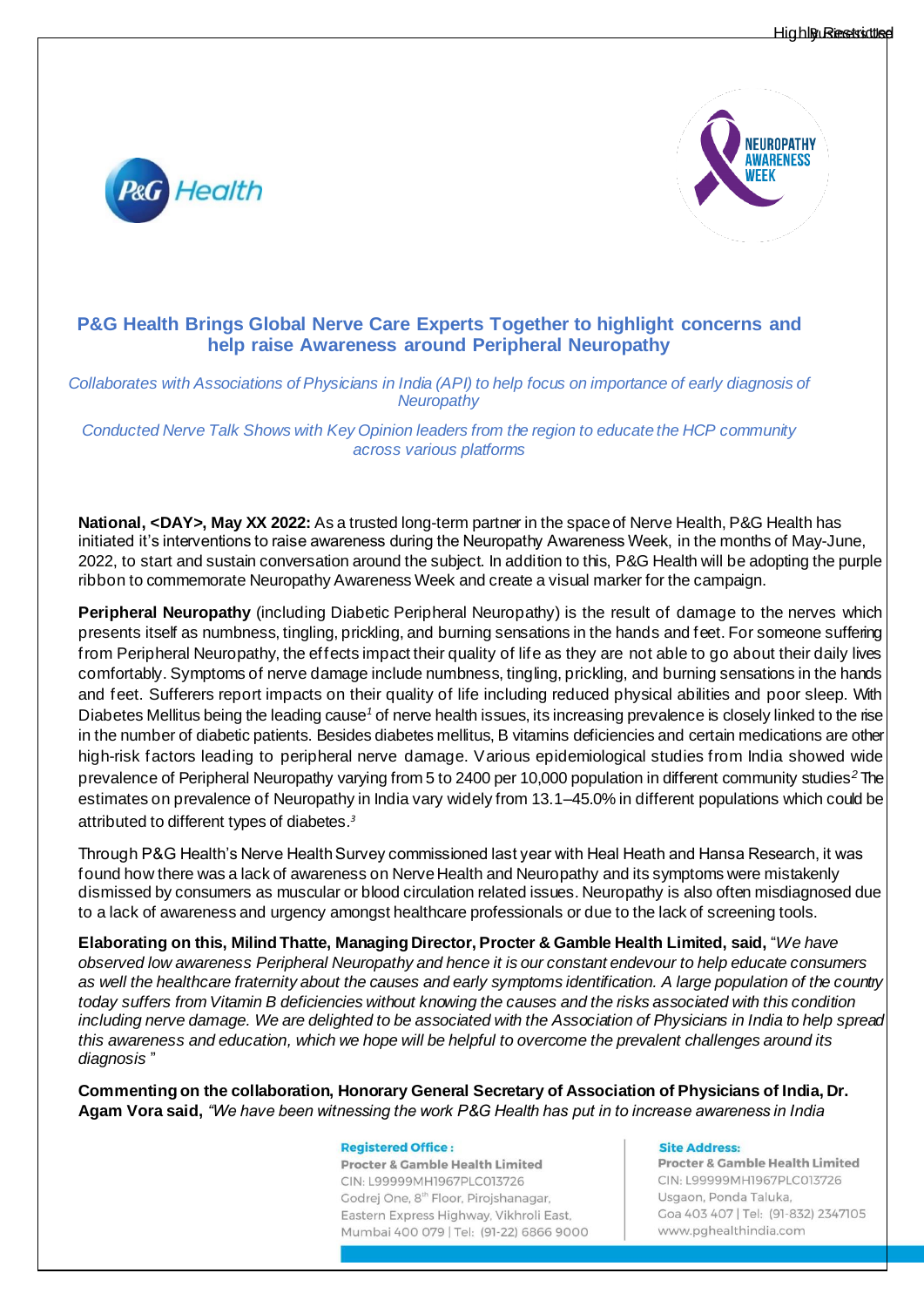



# **P&G Health Brings Global Nerve Care Experts Together to highlight concerns and help raise Awareness around Peripheral Neuropathy**

*Collaborates with Associations of Physicians in India (API) to help focus on importance of early diagnosis of Neuropathy* 

*Conducted Nerve Talk Shows with Key Opinion leaders from the region to educate the HCP community across various platforms*

**National, <DAY>, May XX 2022:** As a trusted long-term partner in the space of Nerve Health, P&G Health has initiated it's interventions to raise awareness during the Neuropathy Awareness Week, in the months of May-June, 2022, to start and sustain conversation around the subject. In addition to this, P&G Health will be adopting the purple ribbon to commemorate Neuropathy Awareness Week and create a visual marker for the campaign.

**Peripheral Neuropathy** (including Diabetic Peripheral Neuropathy) is the result of damage to the nerves which presents itself as numbness, tingling, prickling, and burning sensations in the hands and feet. For someone suffering from Peripheral Neuropathy, the effects impact their quality of life as they are not able to go about their daily lives comfortably. Symptoms of nerve damage include numbness, tingling, prickling, and burning sensations in the hands and feet. Sufferers report impacts on their quality of life including reduced physical abilities and poor sleep. With Diabetes Mellitus being the leading cause*<sup>1</sup>* of nerve health issues, its increasing prevalence is closely linked to the rise in the number of diabetic patients. Besides diabetes mellitus, B vitamins deficiencies and certain medications are other high-risk factors leading to peripheral nerve damage. Various epidemiological studies from India showed wide prevalence of Peripheral Neuropathy varying from 5 to 2400 per 10,000 population in different community studies*<sup>2</sup>* The estimates on prevalence of Neuropathy in India vary widely from 13.1–45.0% in different populations which could be attributed to different types of diabetes*. 3*

Through P&G Health's Nerve Health Survey commissioned last year with Heal Heath and Hansa Research, it was found how there was a lack of awareness on Nerve Health and Neuropathy and its symptoms were mistakenly dismissed by consumers as muscular or blood circulation related issues. Neuropathy is also often misdiagnosed due to a lack of awareness and urgency amongst healthcare professionals or due to the lack of screening tools.

**Elaborating on this, Milind Thatte, Managing Director, Procter & Gamble Health Limited, said,** "*We have observed low awareness Peripheral Neuropathy and hence it is our constant endevour to help educate consumers as well the healthcare fraternity about the causes and early symptoms identification. A large population of the country today suffers from Vitamin B deficiencies without knowing the causes and the risks associated with this condition including nerve damage. We are delighted to be associated with the Association of Physicians in India to help spread this awareness and education, which we hope will be helpful to overcome the prevalent challenges around its diagnosis* "

**Commenting on the collaboration, Honorary General Secretary of Association of Physicians of India, Dr. Agam Vora said,** *"We have been witnessing the work P&G Health has put in to increase awareness in India* 

# **Registered Office:**

**Procter & Gamble Health Limited** CIN: L99999MH1967PLC013726 Godrej One, 8<sup>th</sup> Floor, Pirojshanagar, Eastern Express Highway, Vikhroli East, Mumbai 400 079 | Tel: (91-22) 6866 9000

## **Site Address:**

Procter & Gamble Health Limited CIN: L99999MH1967PLC013726 Usgaon, Ponda Taluka, Goa 403 407 | Tel: (91-832) 2347105 www.pghealthindia.com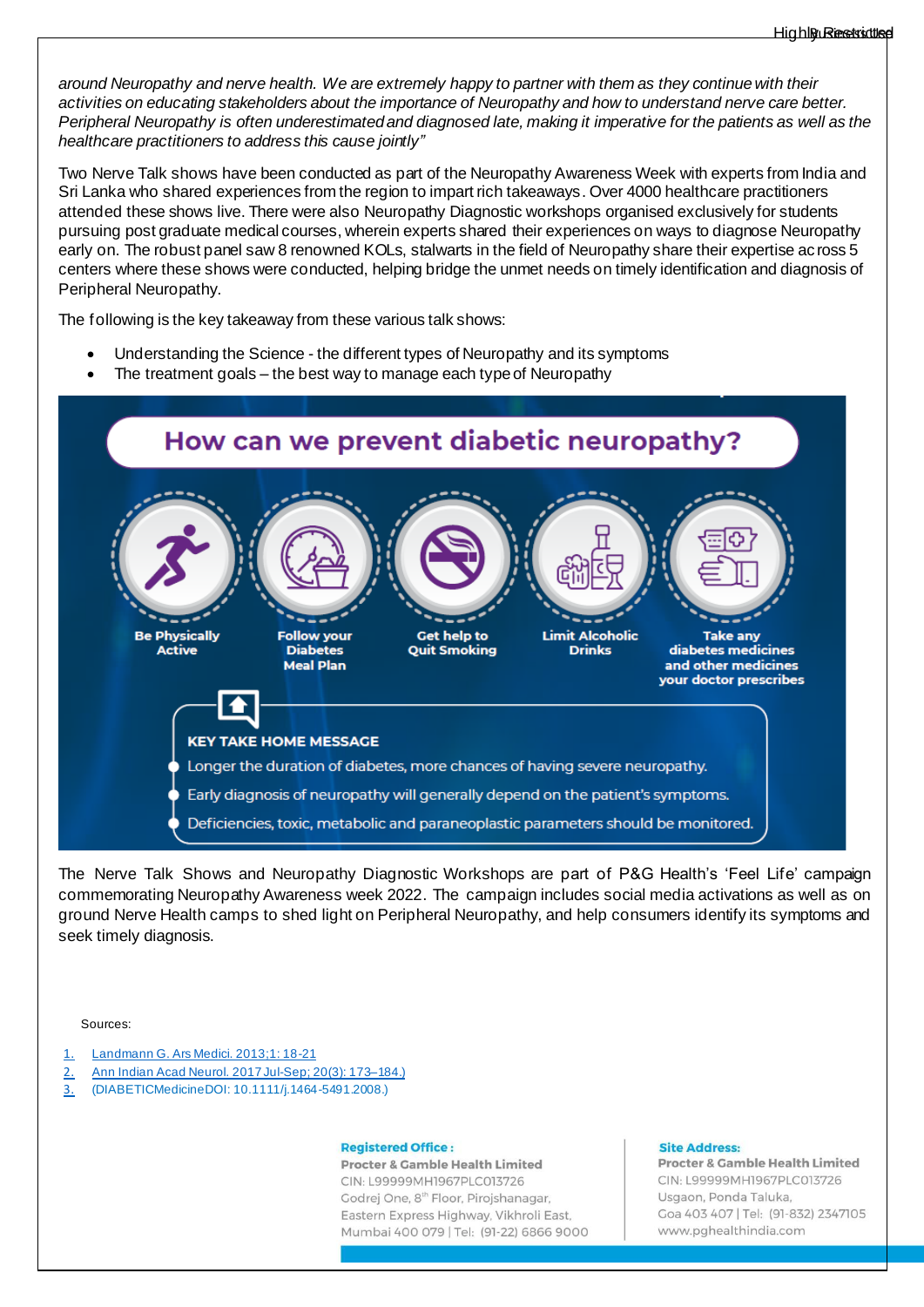*around Neuropathy and nerve health. We are extremely happy to partner with them as they continue with their activities on educating stakeholders about the importance of Neuropathy and how to understand nerve care better. Peripheral Neuropathy is often underestimated and diagnosed late, making it imperative for the patients as well as the healthcare practitioners to address this cause jointly"*

Two Nerve Talk shows have been conducted as part of the Neuropathy Awareness Week with experts from India and Sri Lanka who shared experiences from the region to impart rich takeaways. Over 4000 healthcare practitioners attended these shows live. There were also Neuropathy Diagnostic workshops organised exclusively for students pursuing post graduate medical courses, wherein experts shared their experiences on ways to diagnose Neuropathy early on. The robust panel saw 8 renowned KOLs, stalwarts in the field of Neuropathy share their expertise ac ross 5 centers where these shows were conducted, helping bridge the unmet needs on timely identification and diagnosis of Peripheral Neuropathy.

The following is the key takeaway from these various talk shows:

- Understanding the Science the different types of Neuropathy and its symptoms
- The treatment goals the best way to manage each type of Neuropathy



The Nerve Talk Shows and Neuropathy Diagnostic Workshops are part of P&G Health's 'Feel Life' campaign commemorating Neuropathy Awareness week 2022. The campaign includes social media activations as well as on ground Nerve Health camps to shed light on Peripheral Neuropathy, and help consumers identify its symptoms and seek timely diagnosis.

Sources:

- 1. Landmann G. Ars Medici. 2013;1: 18-21
- 2. [Ann Indian Acad Neurol.](https://www.ncbi.nlm.nih.gov/pmc/articles/PMC5586108/) 2017 Jul-Sep; 20(3): 173–184.)
- 3. (DIABETICMedicineDOI: 10.1111/j.1464-5491.2008.)

## **Registered Office:**

Procter & Gamble Health Limited CIN: L99999MH1967PLC013726 Godrej One, 8<sup>th</sup> Floor, Pirojshanagar, Eastern Express Highway, Vikhroli East, Mumbai 400 079 | Tel: (91-22) 6866 9000

## **Site Address:**

**Procter & Gamble Health Limited** CIN: L99999MH1967PLC013726 Usgaon, Ponda Taluka, Goa 403 407 | Tel: (91-832) 2347105 www.pghealthindia.com